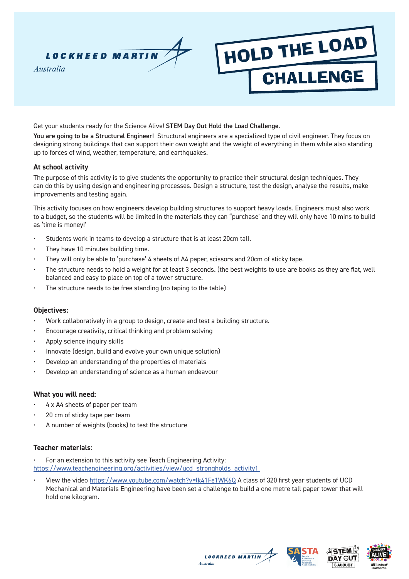

Get your students ready for the Science Alive! STEM Day Out Hold the Load Challenge.

You are going to be a Structural Engineer! Structural engineers are a specialized type of civil engineer. They focus on designing strong buildings that can support their own weight and the weight of everything in them while also standing up to forces of wind, weather, temperature, and earthquakes.

HOLD THE LOAD

**CHALLENGE** 

## **At school activity**

The purpose of this activity is to give students the opportunity to practice their structural design techniques. They can do this by using design and engineering processes. Design a structure, test the design, analyse the results, make improvements and testing again.

This activity focuses on how engineers develop building structures to support heavy loads. Engineers must also work to a budget, so the students will be limited in the materials they can "purchase' and they will only have 10 mins to build as 'time is money!'

- Students work in teams to develop a structure that is at least 20cm tall.
- They have 10 minutes building time.
- They will only be able to 'purchase' 4 sheets of A4 paper, scissors and 20cm of sticky tape.
- The structure needs to hold a weight for at least 3 seconds. (the best weights to use are books as they are flat, well balanced and easy to place on top of a tower structure.
- The structure needs to be free standing (no taping to the table)

## **Objectives:**

- Work collaboratively in a group to design, create and test a building structure.
- Encourage creativity, critical thinking and problem solving
- Apply science inquiry skills
- Innovate (design, build and evolve your own unique solution)
- Develop an understanding of the properties of materials
- Develop an understanding of science as a human endeavour

## **What you will need:**

- 4 x A4 sheets of paper per team
- 20 cm of sticky tape per team
- A number of weights (books) to test the structure

#### **Teacher materials:**

- For an extension to this activity see Teach Engineering Activity:
- https://www.teachengineering.org/activities/view/ucd\_strongholds\_activity1\_
- View the video https://www.youtube.com/watch?v=lk41Fe1WK6Q A class of 320 first year students of UCD Mechanical and Materials Engineering have been set a challenge to build a one metre tall paper tower that will hold one kilogram.





**LOCKHEED MARTIN** Australia